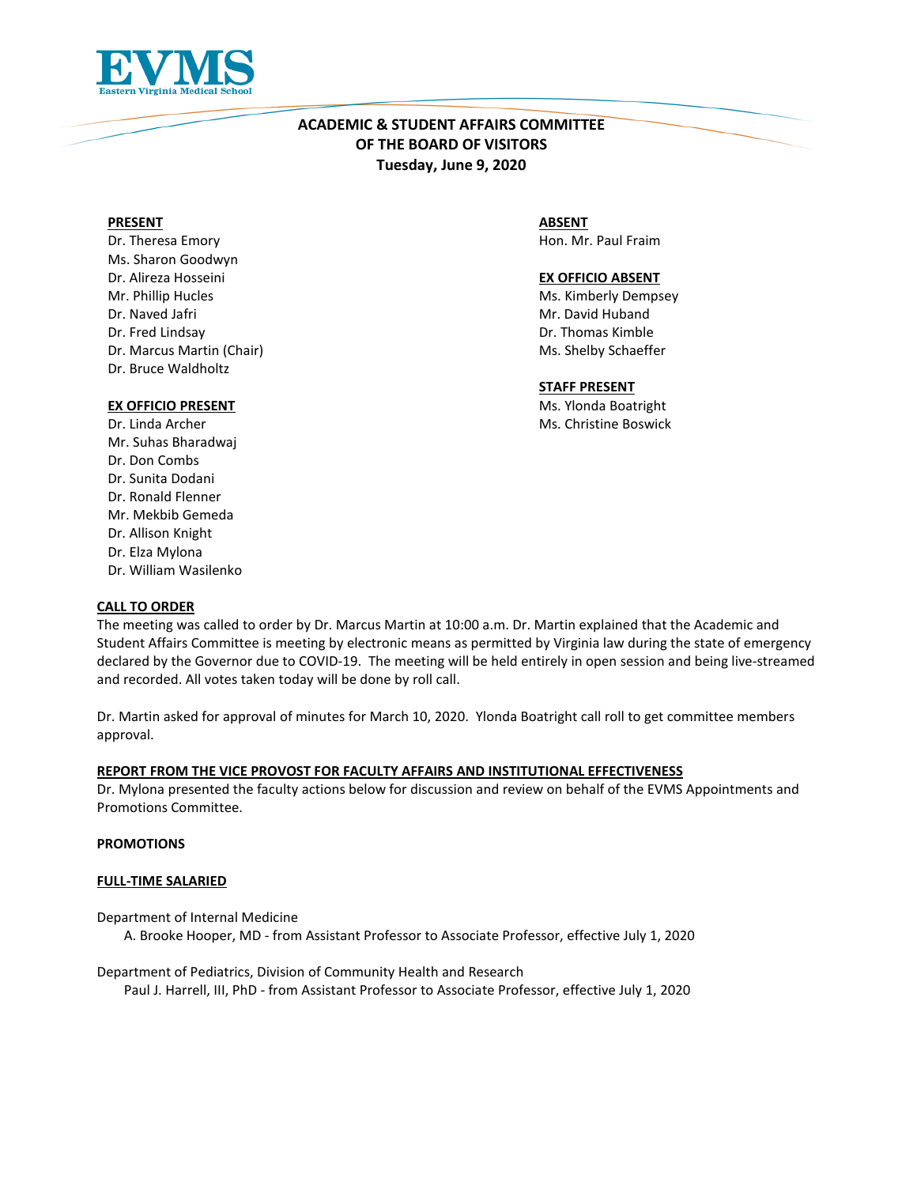

# **ACADEMIC & STUDENT AFFAIRS COMMITTEE OF THE BOARD OF VISITORS Tuesday, June 9, 2020**

#### **PRESENT**

Dr. Theresa Emory Ms. Sharon Goodwyn Dr. Alireza Hosseini Mr. Phillip Hucles Dr. Naved Jafri Dr. Fred Lindsay Dr. Marcus Martin (Chair) Dr. Bruce Waldholtz

**ABSENT** Hon. Mr. Paul Fraim

### **EX OFFICIO ABSENT**

Ms. Kimberly Dempsey Mr. David Huband Dr. Thomas Kimble Ms. Shelby Schaeffer

### **STAFF PRESENT**

Ms. Ylonda Boatright Ms. Christine Boswick

# **EX OFFICIO PRESENT**

Dr. Linda Archer Mr. Suhas Bharadwaj Dr. Don Combs Dr. Sunita Dodani Dr. Ronald Flenner Mr. Mekbib Gemeda Dr. Allison Knight Dr. Elza Mylona Dr. William Wasilenko

## **CALL TO ORDER**

The meeting was called to order by Dr. Marcus Martin at 10:00 a.m. Dr. Martin explained that the Academic and Student Affairs Committee is meeting by electronic means as permitted by Virginia law during the state of emergency declared by the Governor due to COVID-19. The meeting will be held entirely in open session and being live-streamed and recorded. All votes taken today will be done by roll call.

Dr. Martin asked for approval of minutes for March 10, 2020. Ylonda Boatright call roll to get committee members approval.

## **REPORT FROM THE VICE PROVOST FOR FACULTY AFFAIRS AND INSTITUTIONAL EFFECTIVENESS**

Dr. Mylona presented the faculty actions below for discussion and review on behalf of the EVMS Appointments and Promotions Committee.

### **PROMOTIONS**

#### **FULL-TIME SALARIED**

Department of Internal Medicine A. Brooke Hooper, MD - from Assistant Professor to Associate Professor, effective July 1, 2020

Department of Pediatrics, Division of Community Health and Research Paul J. Harrell, III, PhD - from Assistant Professor to Associate Professor, effective July 1, 2020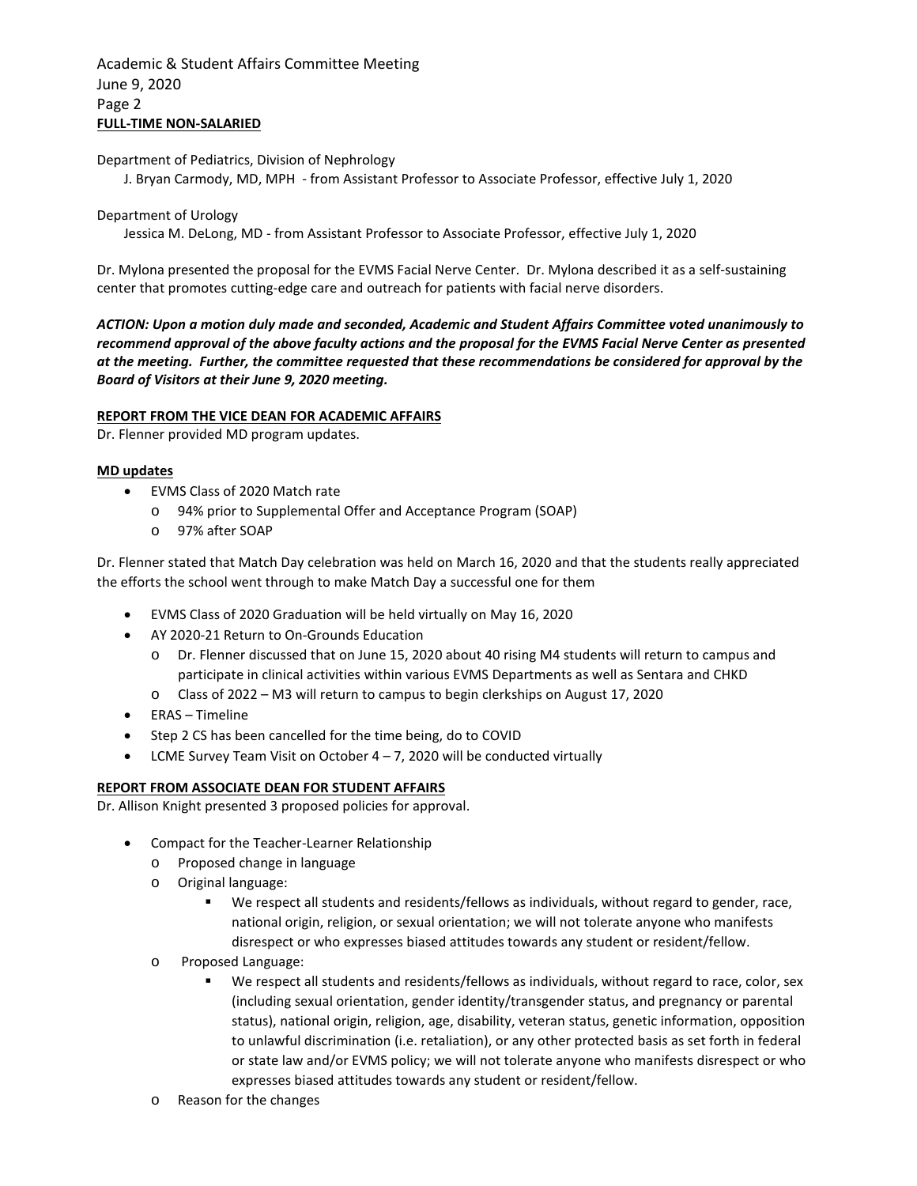## Academic & Student Affairs Committee Meeting June 9, 2020 Page 2 **FULL-TIME NON-SALARIED**

Department of Pediatrics, Division of Nephrology

J. Bryan Carmody, MD, MPH - from Assistant Professor to Associate Professor, effective July 1, 2020

### Department of Urology

Jessica M. DeLong, MD - from Assistant Professor to Associate Professor, effective July 1, 2020

Dr. Mylona presented the proposal for the EVMS Facial Nerve Center. Dr. Mylona described it as a self-sustaining center that promotes cutting-edge care and outreach for patients with facial nerve disorders.

*ACTION: Upon a motion duly made and seconded, Academic and Student Affairs Committee voted unanimously to recommend approval of the above faculty actions and the proposal for the EVMS Facial Nerve Center as presented at the meeting. Further, the committee requested that these recommendations be considered for approval by the Board of Visitors at their June 9, 2020 meeting.*

### **REPORT FROM THE VICE DEAN FOR ACADEMIC AFFAIRS**

Dr. Flenner provided MD program updates.

### **MD updates**

- EVMS Class of 2020 Match rate
	- o 94% prior to Supplemental Offer and Acceptance Program (SOAP)
	- o 97% after SOAP

Dr. Flenner stated that Match Day celebration was held on March 16, 2020 and that the students really appreciated the efforts the school went through to make Match Day a successful one for them

- EVMS Class of 2020 Graduation will be held virtually on May 16, 2020
- AY 2020-21 Return to On-Grounds Education
	- o Dr. Flenner discussed that on June 15, 2020 about 40 rising M4 students will return to campus and participate in clinical activities within various EVMS Departments as well as Sentara and CHKD
	- Class of 2022 M3 will return to campus to begin clerkships on August 17, 2020
- ERAS Timeline
- Step 2 CS has been cancelled for the time being, do to COVID
- LCME Survey Team Visit on October  $4 7$ , 2020 will be conducted virtually

## **REPORT FROM ASSOCIATE DEAN FOR STUDENT AFFAIRS**

Dr. Allison Knight presented 3 proposed policies for approval.

- Compact for the Teacher-Learner Relationship
	- o Proposed change in language
	- o Original language:
		- We respect all students and residents/fellows as individuals, without regard to gender, race, national origin, religion, or sexual orientation; we will not tolerate anyone who manifests disrespect or who expresses biased attitudes towards any student or resident/fellow.
	- o Proposed Language:
		- We respect all students and residents/fellows as individuals, without regard to race, color, sex (including sexual orientation, gender identity/transgender status, and pregnancy or parental status), national origin, religion, age, disability, veteran status, genetic information, opposition to unlawful discrimination (i.e. retaliation), or any other protected basis as set forth in federal or state law and/or EVMS policy; we will not tolerate anyone who manifests disrespect or who expresses biased attitudes towards any student or resident/fellow.
	- o Reason for the changes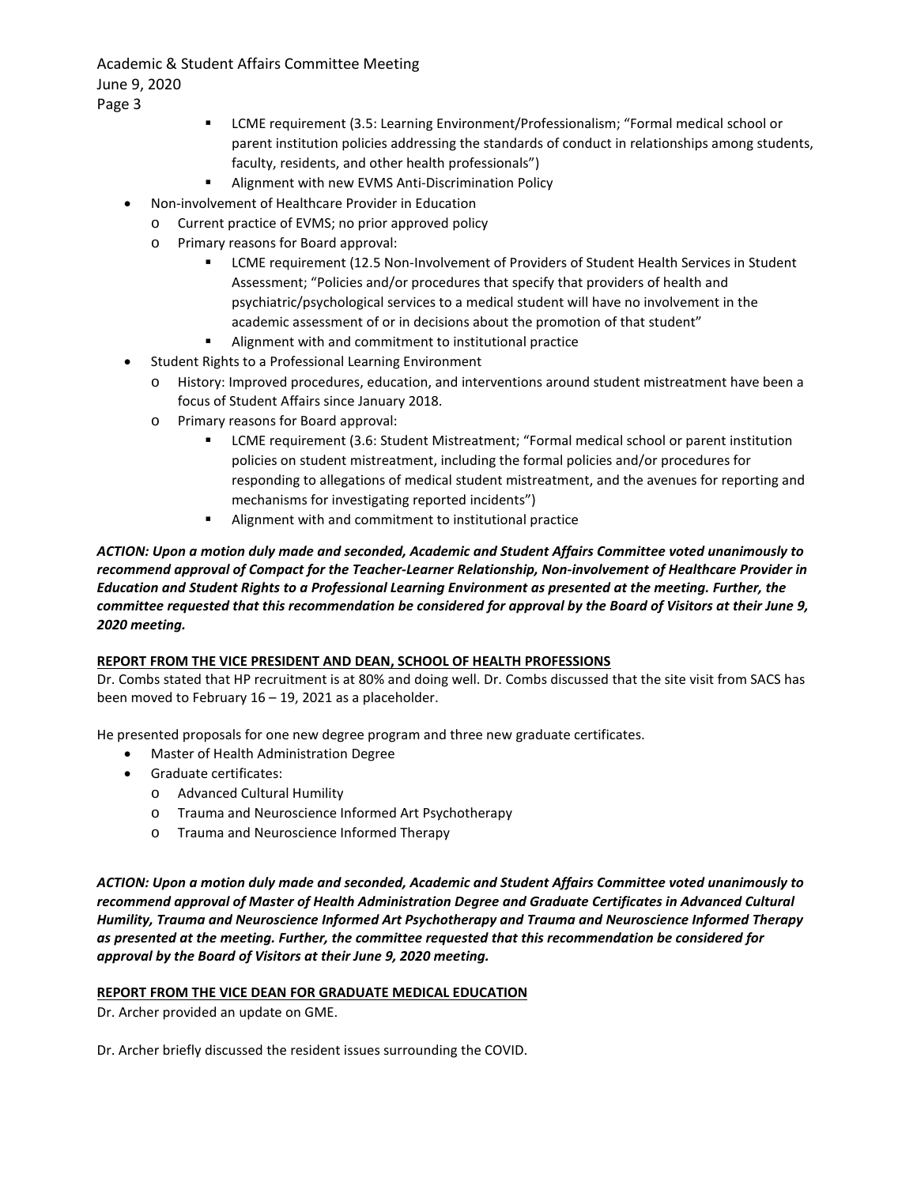Academic & Student Affairs Committee Meeting June 9, 2020 Page 3

- LCME requirement (3.5: Learning Environment/Professionalism; "Formal medical school or parent institution policies addressing the standards of conduct in relationships among students, faculty, residents, and other health professionals")
- Alignment with new EVMS Anti-Discrimination Policy
- Non-involvement of Healthcare Provider in Education
	- o Current practice of EVMS; no prior approved policy
	- o Primary reasons for Board approval:
		- **EXECT LCME requirement (12.5 Non-Involvement of Providers of Student Health Services in Student** Assessment; "Policies and/or procedures that specify that providers of health and psychiatric/psychological services to a medical student will have no involvement in the academic assessment of or in decisions about the promotion of that student"
		- Alignment with and commitment to institutional practice
- Student Rights to a Professional Learning Environment
	- o History: Improved procedures, education, and interventions around student mistreatment have been a focus of Student Affairs since January 2018.
	- o Primary reasons for Board approval:
		- LCME requirement (3.6: Student Mistreatment; "Formal medical school or parent institution policies on student mistreatment, including the formal policies and/or procedures for responding to allegations of medical student mistreatment, and the avenues for reporting and mechanisms for investigating reported incidents")
		- Alignment with and commitment to institutional practice

*ACTION: Upon a motion duly made and seconded, Academic and Student Affairs Committee voted unanimously to recommend approval of Compact for the Teacher-Learner Relationship, Non-involvement of Healthcare Provider in Education and Student Rights to a Professional Learning Environment as presented at the meeting. Further, the committee requested that this recommendation be considered for approval by the Board of Visitors at their June 9, 2020 meeting.*

## **REPORT FROM THE VICE PRESIDENT AND DEAN, SCHOOL OF HEALTH PROFESSIONS**

Dr. Combs stated that HP recruitment is at 80% and doing well. Dr. Combs discussed that the site visit from SACS has been moved to February 16 – 19, 2021 as a placeholder.

He presented proposals for one new degree program and three new graduate certificates.

- Master of Health Administration Degree
- Graduate certificates:
	- o Advanced Cultural Humility
	- o Trauma and Neuroscience Informed Art Psychotherapy
	- o Trauma and Neuroscience Informed Therapy

*ACTION: Upon a motion duly made and seconded, Academic and Student Affairs Committee voted unanimously to recommend approval of Master of Health Administration Degree and Graduate Certificates in Advanced Cultural Humility, Trauma and Neuroscience Informed Art Psychotherapy and Trauma and Neuroscience Informed Therapy as presented at the meeting. Further, the committee requested that this recommendation be considered for approval by the Board of Visitors at their June 9, 2020 meeting.*

## **REPORT FROM THE VICE DEAN FOR GRADUATE MEDICAL EDUCATION**

Dr. Archer provided an update on GME.

Dr. Archer briefly discussed the resident issues surrounding the COVID.